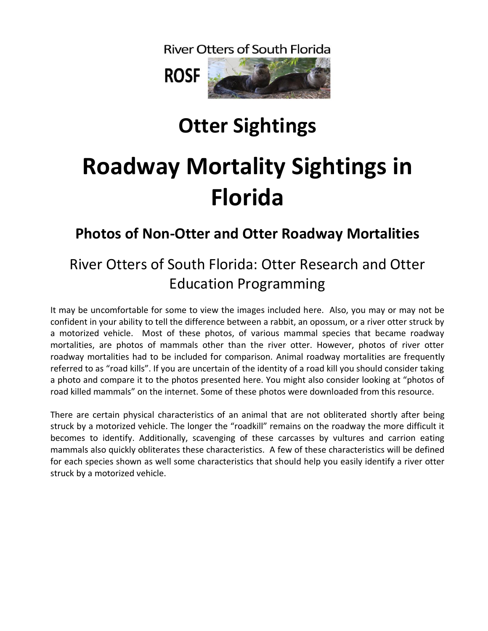**River Otters of South Florida** 



## **Otter Sightings**

# **Roadway Mortality Sightings in Florida**

### **Photos of Non-Otter and Otter Roadway Mortalities**

### River Otters of South Florida: Otter Research and Otter Education Programming

It may be uncomfortable for some to view the images included here. Also, you may or may not be confident in your ability to tell the difference between a rabbit, an opossum, or a river otter struck by a motorized vehicle. Most of these photos, of various mammal species that became roadway mortalities, are photos of mammals other than the river otter. However, photos of river otter roadway mortalities had to be included for comparison. Animal roadway mortalities are frequently referred to as "road kills". If you are uncertain of the identity of a road kill you should consider taking a photo and compare it to the photos presented here. You might also consider looking at "photos of road killed mammals" on the internet. Some of these photos were downloaded from this resource.

There are certain physical characteristics of an animal that are not obliterated shortly after being struck by a motorized vehicle. The longer the "roadkill" remains on the roadway the more difficult it becomes to identify. Additionally, scavenging of these carcasses by vultures and carrion eating mammals also quickly obliterates these characteristics. A few of these characteristics will be defined for each species shown as well some characteristics that should help you easily identify a river otter struck by a motorized vehicle.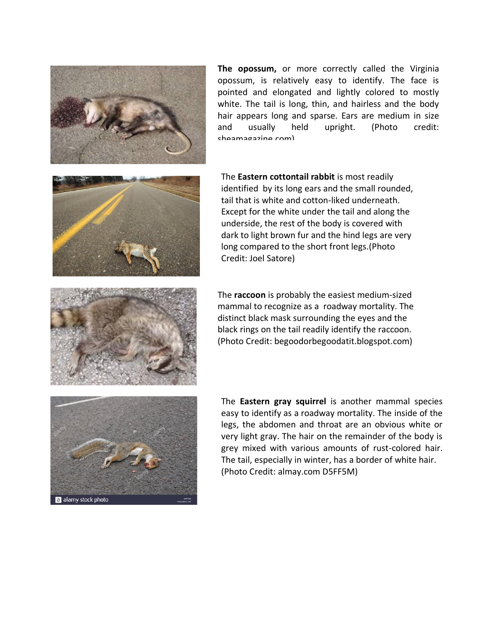

**The opossum,** or more correctly called the Virginia opossum, is relatively easy to identify. The face is pointed and elongated and lightly colored to mostly white. The tail is long, thin, and hairless and the body hair appears long and sparse. Ears are medium in size and usually held upright. (Photo credit: sheamagazine.com)



The **Eastern cottontail rabbit** is most readily identified by its long ears and the small rounded, tail that is white and cotton-liked underneath. Except for the white under the tail and along the underside, the rest of the body is covered with dark to light brown fur and the hind legs are very long compared to the short front legs.(Photo Credit: Joel Satore)





The **Eastern gray squirrel** is another mammal species easy to identify as a roadway mortality. The inside of the legs, the abdomen and throat are an obvious white or very light gray. The hair on the remainder of the body is grey mixed with various amounts of rust-colored hair. The tail, especially in winter, has a border of white hair. (Photo Credit: almay.com D5FF5M)